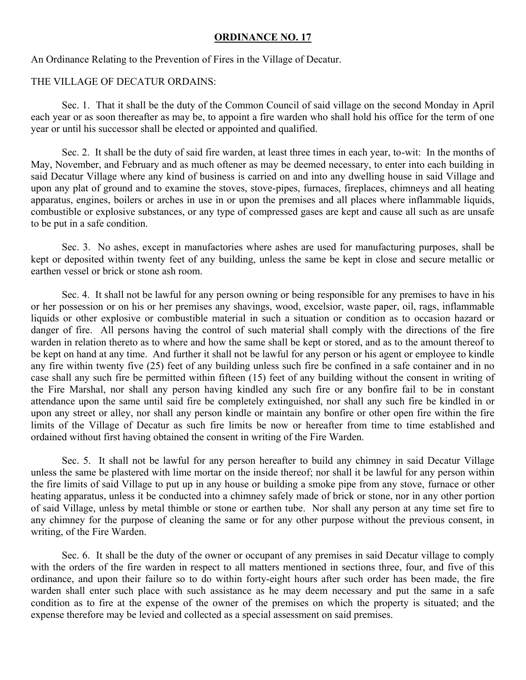## **ORDINANCE NO. 17**

An Ordinance Relating to the Prevention of Fires in the Village of Decatur.

## THE VILLAGE OF DECATUR ORDAINS:

 Sec. 1. That it shall be the duty of the Common Council of said village on the second Monday in April each year or as soon thereafter as may be, to appoint a fire warden who shall hold his office for the term of one year or until his successor shall be elected or appointed and qualified.

 Sec. 2. It shall be the duty of said fire warden, at least three times in each year, to-wit: In the months of May, November, and February and as much oftener as may be deemed necessary, to enter into each building in said Decatur Village where any kind of business is carried on and into any dwelling house in said Village and upon any plat of ground and to examine the stoves, stove-pipes, furnaces, fireplaces, chimneys and all heating apparatus, engines, boilers or arches in use in or upon the premises and all places where inflammable liquids, combustible or explosive substances, or any type of compressed gases are kept and cause all such as are unsafe to be put in a safe condition.

 Sec. 3. No ashes, except in manufactories where ashes are used for manufacturing purposes, shall be kept or deposited within twenty feet of any building, unless the same be kept in close and secure metallic or earthen vessel or brick or stone ash room.

 Sec. 4. It shall not be lawful for any person owning or being responsible for any premises to have in his or her possession or on his or her premises any shavings, wood, excelsior, waste paper, oil, rags, inflammable liquids or other explosive or combustible material in such a situation or condition as to occasion hazard or danger of fire. All persons having the control of such material shall comply with the directions of the fire warden in relation thereto as to where and how the same shall be kept or stored, and as to the amount thereof to be kept on hand at any time. And further it shall not be lawful for any person or his agent or employee to kindle any fire within twenty five (25) feet of any building unless such fire be confined in a safe container and in no case shall any such fire be permitted within fifteen (15) feet of any building without the consent in writing of the Fire Marshal, nor shall any person having kindled any such fire or any bonfire fail to be in constant attendance upon the same until said fire be completely extinguished, nor shall any such fire be kindled in or upon any street or alley, nor shall any person kindle or maintain any bonfire or other open fire within the fire limits of the Village of Decatur as such fire limits be now or hereafter from time to time established and ordained without first having obtained the consent in writing of the Fire Warden.

 Sec. 5. It shall not be lawful for any person hereafter to build any chimney in said Decatur Village unless the same be plastered with lime mortar on the inside thereof; nor shall it be lawful for any person within the fire limits of said Village to put up in any house or building a smoke pipe from any stove, furnace or other heating apparatus, unless it be conducted into a chimney safely made of brick or stone, nor in any other portion of said Village, unless by metal thimble or stone or earthen tube. Nor shall any person at any time set fire to any chimney for the purpose of cleaning the same or for any other purpose without the previous consent, in writing, of the Fire Warden.

 Sec. 6. It shall be the duty of the owner or occupant of any premises in said Decatur village to comply with the orders of the fire warden in respect to all matters mentioned in sections three, four, and five of this ordinance, and upon their failure so to do within forty-eight hours after such order has been made, the fire warden shall enter such place with such assistance as he may deem necessary and put the same in a safe condition as to fire at the expense of the owner of the premises on which the property is situated; and the expense therefore may be levied and collected as a special assessment on said premises.